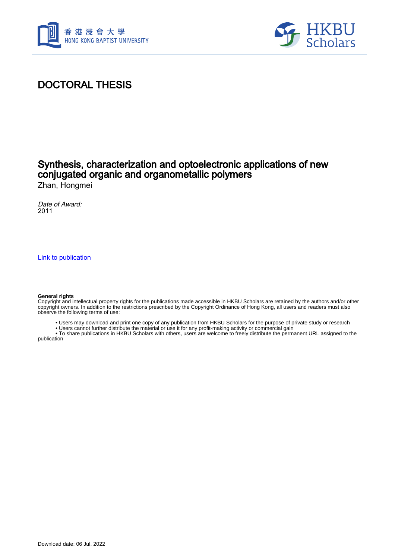



## DOCTORAL THESIS

### Synthesis, characterization and optoelectronic applications of new conjugated organic and organometallic polymers Zhan, Hongmei

Date of Award: 2011

[Link to publication](https://scholars.hkbu.edu.hk/en/studentTheses/b1027036-2913-4461-9c65-78b08f562f5e)

#### **General rights**

Copyright and intellectual property rights for the publications made accessible in HKBU Scholars are retained by the authors and/or other copyright owners. In addition to the restrictions prescribed by the Copyright Ordinance of Hong Kong, all users and readers must also observe the following terms of use:

- Users may download and print one copy of any publication from HKBU Scholars for the purpose of private study or research
- Users cannot further distribute the material or use it for any profit-making activity or commercial gain

 • To share publications in HKBU Scholars with others, users are welcome to freely distribute the permanent URL assigned to the publication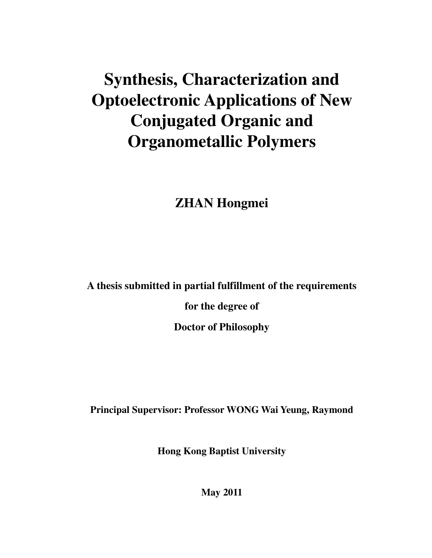# **Synthesis, Characterization and Optoelectronic Applications of New Conjugated Organic and Organometallic Polymers**

## **ZHAN Hongmei**

**A thesis submitted in partial fulfillment of the requirements** 

**for the degree of** 

**Doctor of Philosophy** 

**Principal Supervisor: Professor WONG Wai Yeung, Raymond** 

**Hong Kong Baptist University** 

**May 2011**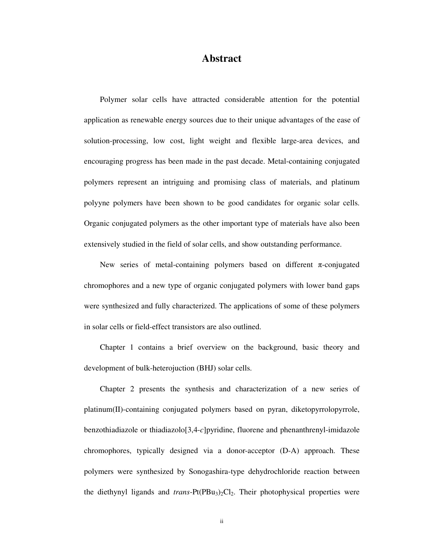### **Abstract**

Polymer solar cells have attracted considerable attention for the potential application as renewable energy sources due to their unique advantages of the ease of solution-processing, low cost, light weight and flexible large-area devices, and encouraging progress has been made in the past decade. Metal-containing conjugated polymers represent an intriguing and promising class of materials, and platinum polyyne polymers have been shown to be good candidates for organic solar cells. Organic conjugated polymers as the other important type of materials have also been extensively studied in the field of solar cells, and show outstanding performance.

New series of metal-containing polymers based on different  $\pi$ -conjugated chromophores and a new type of organic conjugated polymers with lower band gaps were synthesized and fully characterized. The applications of some of these polymers in solar cells or field-effect transistors are also outlined.

Chapter 1 contains a brief overview on the background, basic theory and development of bulk-heterojuction (BHJ) solar cells.

Chapter 2 presents the synthesis and characterization of a new series of platinum(II)-containing conjugated polymers based on pyran, diketopyrrolopyrrole, benzothiadiazole or thiadiazolo[3,4-*c*]pyridine, fluorene and phenanthrenyl-imidazole chromophores, typically designed via a donor-acceptor (D-A) approach. These polymers were synthesized by Sonogashira-type dehydrochloride reaction between the diethynyl ligands and *trans*-Pt(PBu<sub>3</sub>)<sub>2</sub>Cl<sub>2</sub>. Their photophysical properties were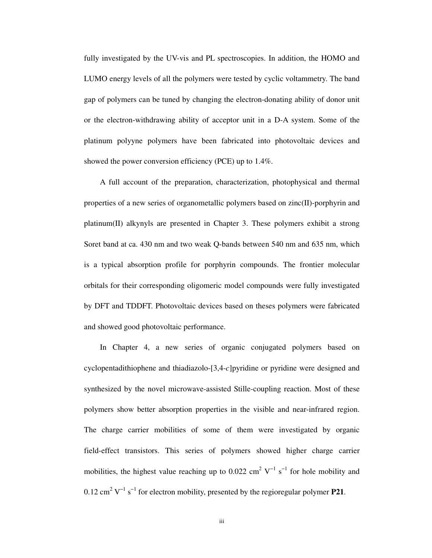fully investigated by the UV-vis and PL spectroscopies. In addition, the HOMO and LUMO energy levels of all the polymers were tested by cyclic voltammetry. The band gap of polymers can be tuned by changing the electron-donating ability of donor unit or the electron-withdrawing ability of acceptor unit in a D-A system. Some of the platinum polyyne polymers have been fabricated into photovoltaic devices and showed the power conversion efficiency (PCE) up to 1.4%.

A full account of the preparation, characterization, photophysical and thermal properties of a new series of organometallic polymers based on zinc(II)-porphyrin and platinum(II) alkynyls are presented in Chapter 3. These polymers exhibit a strong Soret band at ca. 430 nm and two weak Q-bands between 540 nm and 635 nm, which is a typical absorption profile for porphyrin compounds. The frontier molecular orbitals for their corresponding oligomeric model compounds were fully investigated by DFT and TDDFT. Photovoltaic devices based on theses polymers were fabricated and showed good photovoltaic performance.

In Chapter 4, a new series of organic conjugated polymers based on cyclopentadithiophene and thiadiazolo-[3,4-*c*]pyridine or pyridine were designed and synthesized by the novel microwave-assisted Stille-coupling reaction. Most of these polymers show better absorption properties in the visible and near-infrared region. The charge carrier mobilities of some of them were investigated by organic field-effect transistors. This series of polymers showed higher charge carrier mobilities, the highest value reaching up to 0.022 cm<sup>2</sup> V<sup>-1</sup> s<sup>-1</sup> for hole mobility and  $0.12 \text{ cm}^2 \text{ V}^{-1} \text{ s}^{-1}$  for electron mobility, presented by the regioregular polymer **P21**.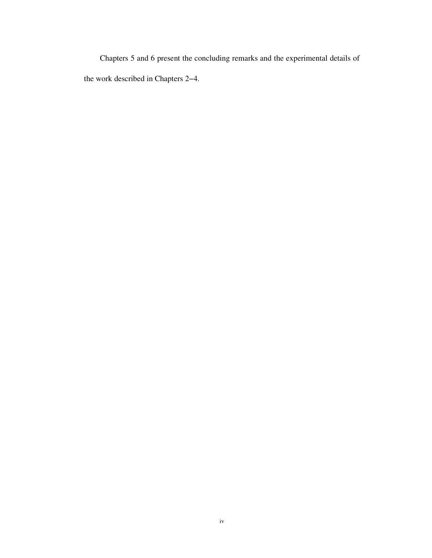Chapters 5 and 6 present the concluding remarks and the experimental details of the work described in Chapters 2−4.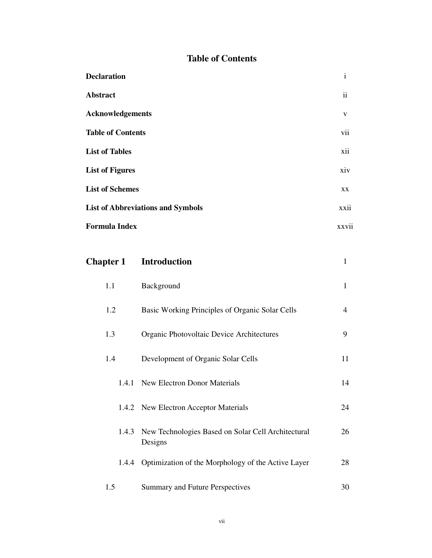### **Table of Contents**

| <b>Declaration</b>                       | $\mathbf{i}$  |
|------------------------------------------|---------------|
| Abstract                                 | $\mathbf{ii}$ |
| <b>Acknowledgements</b>                  | V             |
| <b>Table of Contents</b>                 | vii           |
| <b>List of Tables</b>                    | xii           |
| <b>List of Figures</b>                   | xiv           |
| <b>List of Schemes</b>                   | XX            |
| <b>List of Abbreviations and Symbols</b> | xxii          |
| <b>Formula Index</b>                     | xxvii         |

| <b>Chapter 1</b> | <b>Introduction</b>                                           | 1              |
|------------------|---------------------------------------------------------------|----------------|
| 1.1              | Background                                                    | $\mathbf{1}$   |
| 1.2              | Basic Working Principles of Organic Solar Cells               | $\overline{4}$ |
| 1.3              | Organic Photovoltaic Device Architectures                     | 9              |
| 1.4              | Development of Organic Solar Cells                            | 11             |
| 1.4.1            | <b>New Electron Donor Materials</b>                           | 14             |
|                  | 1.4.2 New Electron Acceptor Materials                         | 24             |
| 1.4.3            | New Technologies Based on Solar Cell Architectural<br>Designs | 26             |
| 1.4.4            | Optimization of the Morphology of the Active Layer            | 28             |
| 1.5              | Summary and Future Perspectives                               | 30             |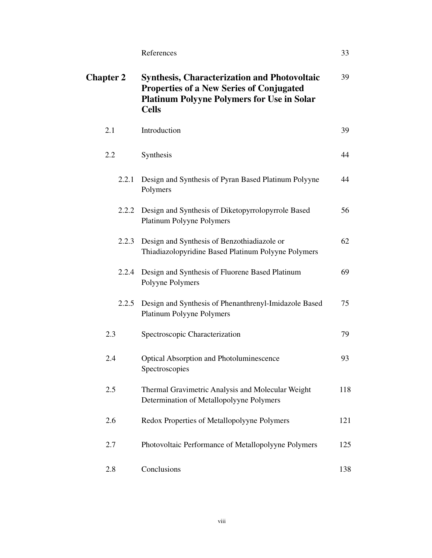References 33

| <b>Chapter 2</b> | <b>Synthesis, Characterization and Photovoltaic</b><br><b>Properties of a New Series of Conjugated</b><br><b>Platinum Polyyne Polymers for Use in Solar</b><br><b>Cells</b> | 39  |
|------------------|-----------------------------------------------------------------------------------------------------------------------------------------------------------------------------|-----|
| 2.1              | Introduction                                                                                                                                                                | 39  |
| 2.2              | Synthesis                                                                                                                                                                   | 44  |
| 2.2.1            | Design and Synthesis of Pyran Based Platinum Polyyne<br>Polymers                                                                                                            | 44  |
| 2.2.2            | Design and Synthesis of Diketopyrrolopyrrole Based<br>Platinum Polyyne Polymers                                                                                             | 56  |
| 2.2.3            | Design and Synthesis of Benzothiadiazole or<br>Thiadiazolopyridine Based Platinum Polyyne Polymers                                                                          | 62  |
| 2.2.4            | Design and Synthesis of Fluorene Based Platinum<br>Polyyne Polymers                                                                                                         | 69  |
| 2.2.5            | Design and Synthesis of Phenanthrenyl-Imidazole Based<br>Platinum Polyyne Polymers                                                                                          | 75  |
| 2.3              | Spectroscopic Characterization                                                                                                                                              | 79  |
| 2.4              | <b>Optical Absorption and Photoluminescence</b><br>Spectroscopies                                                                                                           | 93  |
| 2.5              | Thermal Gravimetric Analysis and Molecular Weight<br>Determination of Metallopolyyne Polymers                                                                               | 118 |
| 2.6              | Redox Properties of Metallopolyyne Polymers                                                                                                                                 | 121 |
| 2.7              | Photovoltaic Performance of Metallopolyyne Polymers                                                                                                                         | 125 |
| 2.8              | Conclusions                                                                                                                                                                 | 138 |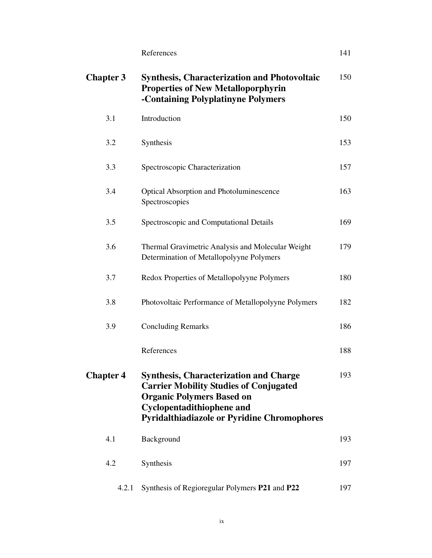| $\overline{4}$ |
|----------------|
|                |

| <b>Chapter 3</b> | <b>Synthesis, Characterization and Photovoltaic</b><br><b>Properties of New Metalloporphyrin</b><br>-Containing Polyplatinyne Polymers                                                                                       | 150 |
|------------------|------------------------------------------------------------------------------------------------------------------------------------------------------------------------------------------------------------------------------|-----|
| 3.1              | Introduction                                                                                                                                                                                                                 | 150 |
| 3.2              | Synthesis                                                                                                                                                                                                                    | 153 |
| 3.3              | Spectroscopic Characterization                                                                                                                                                                                               | 157 |
| 3.4              | <b>Optical Absorption and Photoluminescence</b><br>Spectroscopies                                                                                                                                                            | 163 |
| 3.5              | Spectroscopic and Computational Details                                                                                                                                                                                      | 169 |
| 3.6              | Thermal Gravimetric Analysis and Molecular Weight<br>Determination of Metallopolyyne Polymers                                                                                                                                | 179 |
| 3.7              | Redox Properties of Metallopolyyne Polymers                                                                                                                                                                                  | 180 |
| 3.8              | Photovoltaic Performance of Metallopolyyne Polymers                                                                                                                                                                          | 182 |
| 3.9              | <b>Concluding Remarks</b>                                                                                                                                                                                                    | 186 |
|                  | References                                                                                                                                                                                                                   | 188 |
| <b>Chapter 4</b> | <b>Synthesis, Characterization and Charge</b><br><b>Carrier Mobility Studies of Conjugated</b><br><b>Organic Polymers Based on</b><br><b>Cyclopentadithiophene and</b><br><b>Pyridalthiadiazole or Pyridine Chromophores</b> | 193 |
| 4.1              | Background                                                                                                                                                                                                                   | 193 |
| 4.2              | Synthesis                                                                                                                                                                                                                    | 197 |
| 4.2.1            | Synthesis of Regioregular Polymers P21 and P22                                                                                                                                                                               | 197 |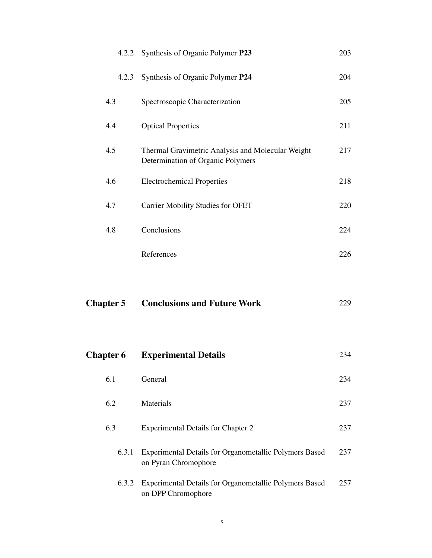| <b>Chapter 5</b> |       | <b>Conclusions and Future Work</b>                                                     | 229 |
|------------------|-------|----------------------------------------------------------------------------------------|-----|
|                  |       |                                                                                        |     |
|                  |       | References                                                                             | 226 |
| 4.8              |       | Conclusions                                                                            | 224 |
| 4.7              |       | <b>Carrier Mobility Studies for OFET</b>                                               | 220 |
| 4.6              |       | <b>Electrochemical Properties</b>                                                      | 218 |
| 4.5              |       | Thermal Gravimetric Analysis and Molecular Weight<br>Determination of Organic Polymers | 217 |
| 4.4              |       | <b>Optical Properties</b>                                                              | 211 |
| 4.3              |       | Spectroscopic Characterization                                                         | 205 |
|                  | 4.2.3 | Synthesis of Organic Polymer P24                                                       | 204 |
|                  | 4.2.2 | Synthesis of Organic Polymer P23                                                       | 203 |

| <b>Chapter 6</b> | <b>Experimental Details</b>                                                           | 234 |
|------------------|---------------------------------------------------------------------------------------|-----|
| 6.1              | General                                                                               | 234 |
| 6.2              | Materials                                                                             | 237 |
| 6.3              | <b>Experimental Details for Chapter 2</b>                                             | 237 |
| 6.3.1            | <b>Experimental Details for Organometallic Polymers Based</b><br>on Pyran Chromophore | 237 |
| 6.3.2            | <b>Experimental Details for Organometallic Polymers Based</b><br>on DPP Chromophore   | 257 |